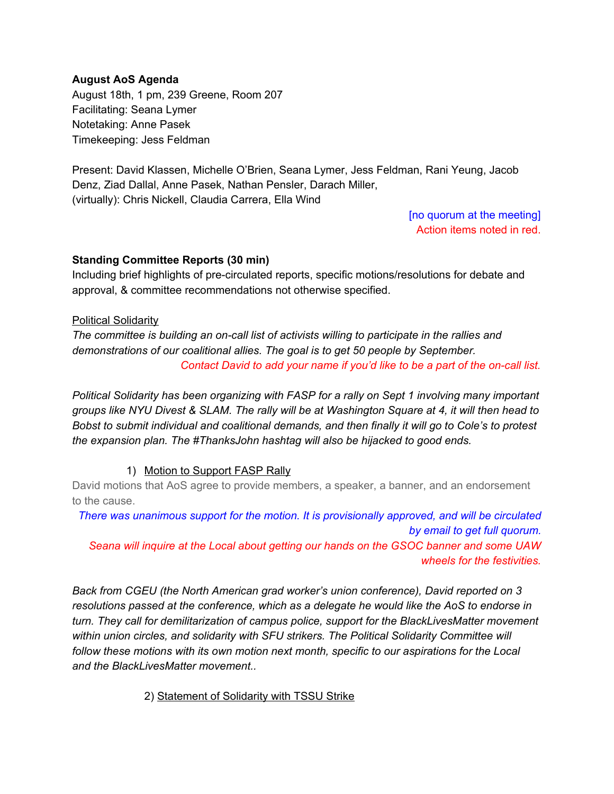#### **August AoS Agenda**

August 18th, 1 pm, 239 Greene, Room 207 Facilitating: Seana Lymer Notetaking: Anne Pasek Timekeeping: Jess Feldman

Present: David Klassen, Michelle O'Brien, Seana Lymer, Jess Feldman, Rani Yeung, Jacob Denz, Ziad Dallal, Anne Pasek, Nathan Pensler, Darach Miller, (virtually): Chris Nickell, Claudia Carrera, Ella Wind

> [no quorum at the meeting] Action items noted in red.

#### **Standing Committee Reports (30 min)**

Including brief highlights of pre-circulated reports, specific motions/resolutions for debate and approval, & committee recommendations not otherwise specified.

#### Political Solidarity

*The committee is building an oncall list of activists willing to participate in the rallies and demonstrations of our coalitional allies. The goal is to get 50 people by September. Contact David to add your name if you'd like to be a part of the oncall list.*

*Political Solidarity has been organizing with FASP for a rally on Sept 1 involving many important* groups like NYU Divest & SLAM. The rally will be at Washington Square at 4, it will then head to *Bobst to submit individual and coalitional demands, and then finally it will go to Cole's to protest the expansion plan. The #ThanksJohn hashtag will also be hijacked to good ends.*

## 1) Motion to Support FASP Rally

David motions that AoS agree to provide members, a speaker, a banner, and an endorsement to the cause.

*There was unanimous support for the motion. It is provisionally approved, and will be circulated by email to get full quorum. Seana will inquire at the Local about getting our hands on the GSOC banner and some UAW wheels for the festivities.*

*Back from CGEU (the North American grad worker's union conference), David reported on 3 resolutions passed at the conference, which as a delegate he would like the AoS to endorse in turn. They call for demilitarization of campus police, support for the BlackLivesMatter movement within union circles, and solidarity with SFU strikers. The Political Solidarity Committee will follow these motions with its own motion next month, specific to our aspirations for the Local and the BlackLivesMatter movement..*

## 2) Statement of Solidarity with TSSU Strike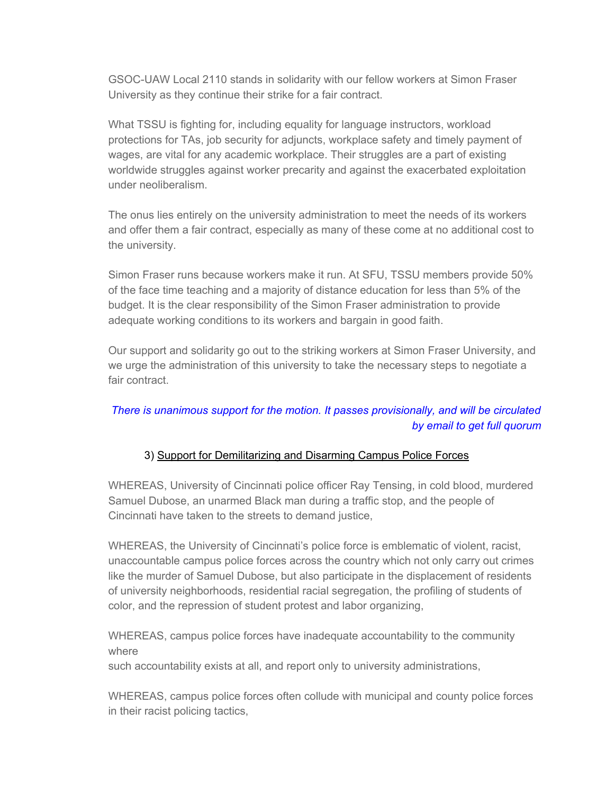GSOC-UAW Local 2110 stands in solidarity with our fellow workers at Simon Fraser University as they continue their strike for a fair contract.

What TSSU is fighting for, including equality for language instructors, workload protections for TAs, job security for adjuncts, workplace safety and timely payment of wages, are vital for any academic workplace. Their struggles are a part of existing worldwide struggles against worker precarity and against the exacerbated exploitation under neoliberalism.

The onus lies entirely on the university administration to meet the needs of its workers and offer them a fair contract, especially as many of these come at no additional cost to the university.

Simon Fraser runs because workers make it run. At SFU, TSSU members provide 50% of the face time teaching and a majority of distance education for less than 5% of the budget. It is the clear responsibility of the Simon Fraser administration to provide adequate working conditions to its workers and bargain in good faith.

Our support and solidarity go out to the striking workers at Simon Fraser University, and we urge the administration of this university to take the necessary steps to negotiate a fair contract.

## *There is unanimous support for the motion. It passes provisionally, and will be circulated by email to get full quorum*

## 3) Support for Demilitarizing and Disarming Campus Police Forces

WHEREAS, University of Cincinnati police officer Ray Tensing, in cold blood, murdered Samuel Dubose, an unarmed Black man during a traffic stop, and the people of Cincinnati have taken to the streets to demand justice,

WHEREAS, the University of Cincinnati's police force is emblematic of violent, racist, unaccountable campus police forces across the country which not only carry out crimes like the murder of Samuel Dubose, but also participate in the displacement of residents of university neighborhoods, residential racial segregation, the profiling of students of color, and the repression of student protest and labor organizing,

WHEREAS, campus police forces have inadequate accountability to the community where

such accountability exists at all, and report only to university administrations,

WHEREAS, campus police forces often collude with municipal and county police forces in their racist policing tactics,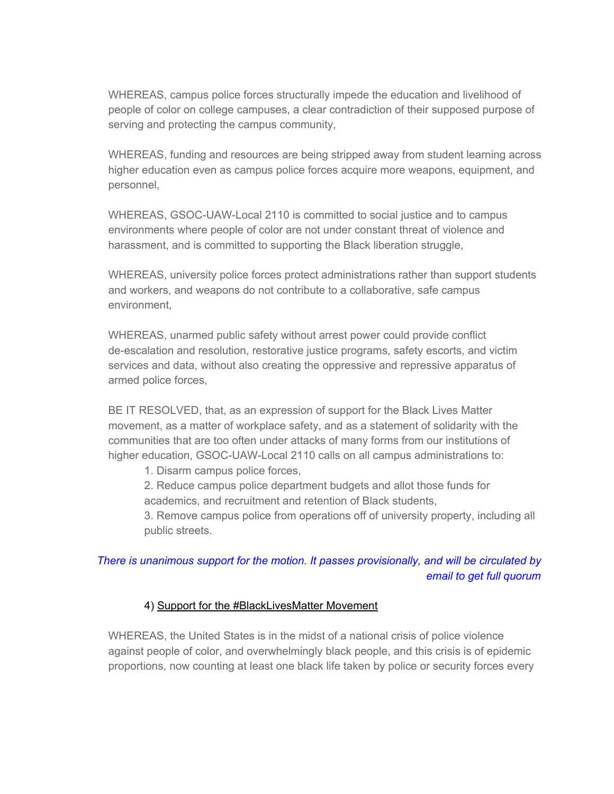WHEREAS, campus police forces structurally impede the education and livelihood of people of color on college campuses, a clear contradiction of their supposed purpose of serving and protecting the campus community,

WHEREAS, funding and resources are being stripped away from student learning across higher education even as campus police forces acquire more weapons, equipment, and personnel,

WHEREAS, GSOC-UAW-Local 2110 is committed to social justice and to campus environments where people of color are not under constant threat of violence and harassment, and is committed to supporting the Black liberation struggle,

WHEREAS, university police forces protect administrations rather than support students and workers, and weapons do not contribute to a collaborative, safe campus environment,

WHEREAS, unarmed public safety without arrest power could provide conflict de-escalation and resolution, restorative justice programs, safety escorts, and victim services and data, without also creating the oppressive and repressive apparatus of armed police forces,

BE IT RESOLVED, that, as an expression of support for the Black Lives Matter movement, as a matter of workplace safety, and as a statement of solidarity with the communities that are too often under attacks of many forms from our institutions of higher education, GSOC-UAW-Local 2110 calls on all campus administrations to:

1. Disarm campus police forces,

2. Reduce campus police department budgets and allot those funds for academics, and recruitment and retention of Black students,

3. Remove campus police from operations off of university property, including all public streets.

# *There is unanimous support for the motion. It passes provisionally, and will be circulated by email to get full quorum*

#### 4) Support for the #BlackLivesMatter Movement

WHEREAS, the United States is in the midst of a national crisis of police violence against people of color, and overwhelmingly black people, and this crisis is of epidemic proportions, now counting at least one black life taken by police or security forces every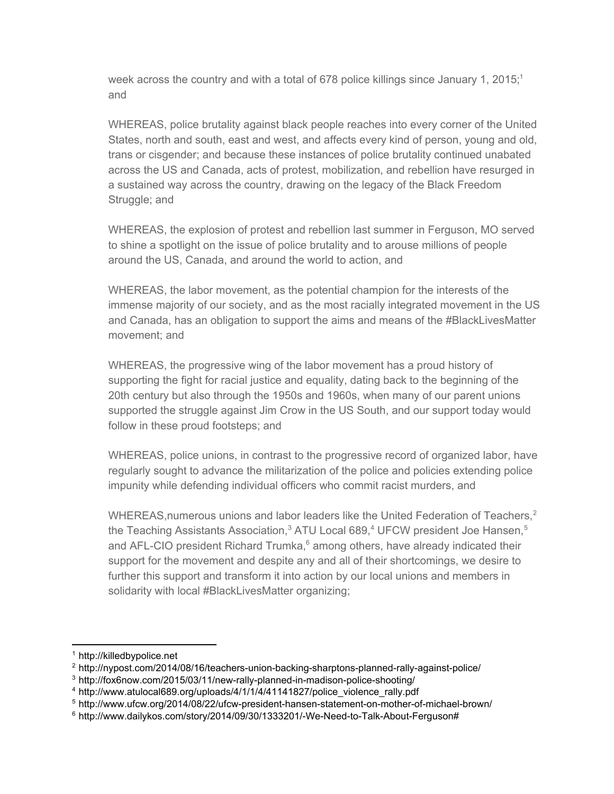week across the country and with a total of 678 police killings since January 1, 2015;<sup>1</sup> and

WHEREAS, police brutality against black people reaches into every corner of the United States, north and south, east and west, and affects every kind of person, young and old, trans or cisgender; and because these instances of police brutality continued unabated across the US and Canada, acts of protest, mobilization, and rebellion have resurged in a sustained way across the country, drawing on the legacy of the Black Freedom Struggle; and

WHEREAS, the explosion of protest and rebellion last summer in Ferguson, MO served to shine a spotlight on the issue of police brutality and to arouse millions of people around the US, Canada, and around the world to action, and

WHEREAS, the labor movement, as the potential champion for the interests of the immense majority of our society, and as the most racially integrated movement in the US and Canada, has an obligation to support the aims and means of the #BlackLivesMatter movement; and

WHEREAS, the progressive wing of the labor movement has a proud history of supporting the fight for racial justice and equality, dating back to the beginning of the 20th century but also through the 1950s and 1960s, when many of our parent unions supported the struggle against Jim Crow in the US South, and our support today would follow in these proud footsteps; and

WHEREAS, police unions, in contrast to the progressive record of organized labor, have regularly sought to advance the militarization of the police and policies extending police impunity while defending individual officers who commit racist murders, and

WHEREAS, numerous unions and labor leaders like the United Federation of Teachers,<sup>2</sup> the Teaching Assistants Association,<sup>3</sup> ATU Local 689,<sup>4</sup> UFCW president Joe Hansen,<sup>5</sup> and AFL-CIO president Richard Trumka, $6$  among others, have already indicated their support for the movement and despite any and all of their shortcomings, we desire to further this support and transform it into action by our local unions and members in solidarity with local #BlackLivesMatter organizing;

<sup>1</sup> http://killedbypolice.net

 $2$  http://nypost.com/2014/08/16/teachers-union-backing-sharptons-planned-rally-against-police/

 $3$  http://fox6now.com/2015/03/11/new-rally-planned-in-madison-police-shooting/

<sup>4</sup> http://www.atulocal689.org/uploads/4/1/1/4/41141827/police\_violence\_rally.pdf

 $5$  http://www.ufcw.org/2014/08/22/ufcw-president-hansen-statement-on-mother-of-michael-brown/

 $6$  http://www.dailykos.com/story/2014/09/30/1333201/-We-Need-to-Talk-About-Ferguson#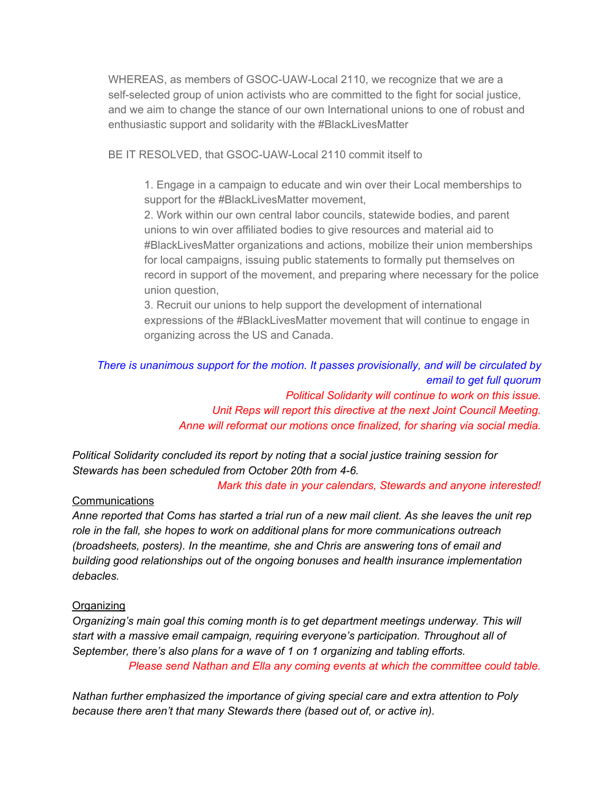WHEREAS, as members of GSOC-UAW-Local 2110, we recognize that we are a self-selected group of union activists who are committed to the fight for social justice, and we aim to change the stance of our own International unions to one of robust and enthusiastic support and solidarity with the #BlackLivesMatter

BE IT RESOLVED, that GSOC-UAW-Local 2110 commit itself to

1. Engage in a campaign to educate and win over their Local memberships to support for the #BlackLivesMatter movement,

2. Work within our own central labor councils, statewide bodies, and parent unions to win over affiliated bodies to give resources and material aid to #BlackLivesMatter organizations and actions, mobilize their union memberships for local campaigns, issuing public statements to formally put themselves on record in support of the movement, and preparing where necessary for the police union question,

3. Recruit our unions to help support the development of international expressions of the #BlackLivesMatter movement that will continue to engage in organizing across the US and Canada.

## *There is unanimous support for the motion. It passes provisionally, and will be circulated by email to get full quorum Political Solidarity will continue to work on this issue. Unit Reps will report this directive at the next Joint Council Meeting. Anne will reformat our motions once finalized, for sharing via social media.*

*Political Solidarity concluded its report by noting that a social justice training session for Stewards has been scheduled from October 20th from 46.*

*Mark this date in your calendars, Stewards and anyone interested!*

#### Communications

Anne reported that Coms has started a trial run of a new mail client. As she leaves the unit rep *role in the fall, she hopes to work on additional plans for more communications outreach (broadsheets, posters). In the meantime, she and Chris are answering tons of email and building good relationships out of the ongoing bonuses and health insurance implementation debacles.*

#### **Organizing**

*Organizing's main goal this coming month is to get department meetings underway. This will start with a massive email campaign, requiring everyone's participation. Throughout all of September, there's also plans for a wave of 1 on 1 organizing and tabling efforts. Please send Nathan and Ella any coming events at which the committee could table.*

*Nathan further emphasized the importance of giving special care and extra attention to Poly because there aren't that many Stewards there (based out of, or active in).*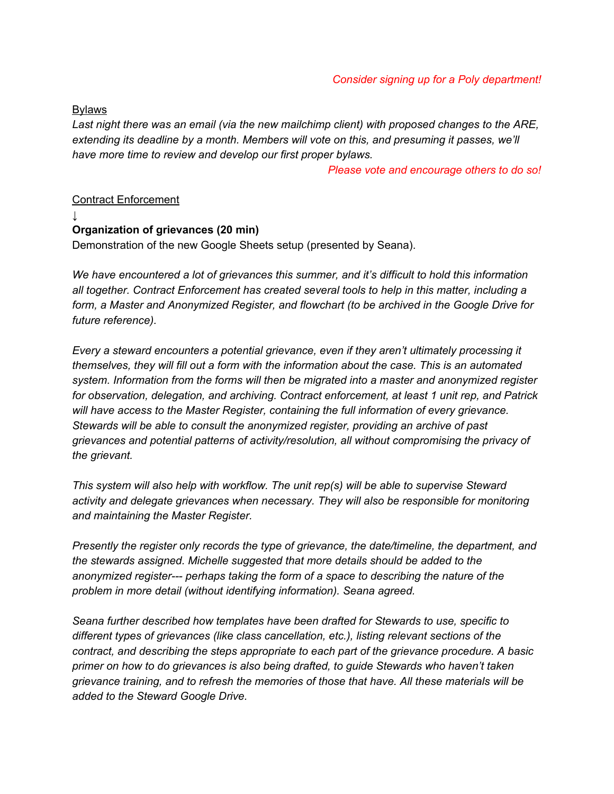**Bylaws** 

*Last night there was an email (via the new mailchimp client) with proposed changes to the ARE, extending its deadline by a month. Members will vote on this, and presuming it passes, we'll have more time to review and develop our first proper bylaws.*

*Please vote and encourage others to do so!*

#### Contract Enforcement

*↓*

## **Organization of grievances (20 min)**

Demonstration of the new Google Sheets setup (presented by Seana).

*We have encountered a lot of grievances this summer, and it's difficult to hold this information all together. Contract Enforcement has created several tools to help in this matter, including a form, a Master and Anonymized Register, and flowchart (to be archived in the Google Drive for future reference).*

*Every a steward encounters a potential grievance, even if they aren't ultimately processing it themselves, they will fill out a form with the information about the case. This is an automated system. Information from the forms will then be migrated into a master and anonymized register for observation, delegation, and archiving. Contract enforcement, at least 1 unit rep, and Patrick will have access to the Master Register, containing the full information of every grievance. Stewards will be able to consult the anonymized register, providing an archive of past grievances and potential patterns of activity/resolution, all without compromising the privacy of the grievant.*

*This system will also help with workflow. The unit rep(s) will be able to supervise Steward activity and delegate grievances when necessary. They will also be responsible for monitoring and maintaining the Master Register.*

*Presently the register only records the type of grievance, the date/timeline, the department, and the stewards assigned. Michelle suggested that more details should be added to the anonymized register perhaps taking the form of a space to describing the nature of the problem in more detail (without identifying information). Seana agreed.*

*Seana further described how templates have been drafted for Stewards to use, specific to different types of grievances (like class cancellation, etc.), listing relevant sections of the contract, and describing the steps appropriate to each part of the grievance procedure. A basic primer on how to do grievances is also being drafted, to guide Stewards who haven't taken grievance training, and to refresh the memories of those that have. All these materials will be added to the Steward Google Drive.*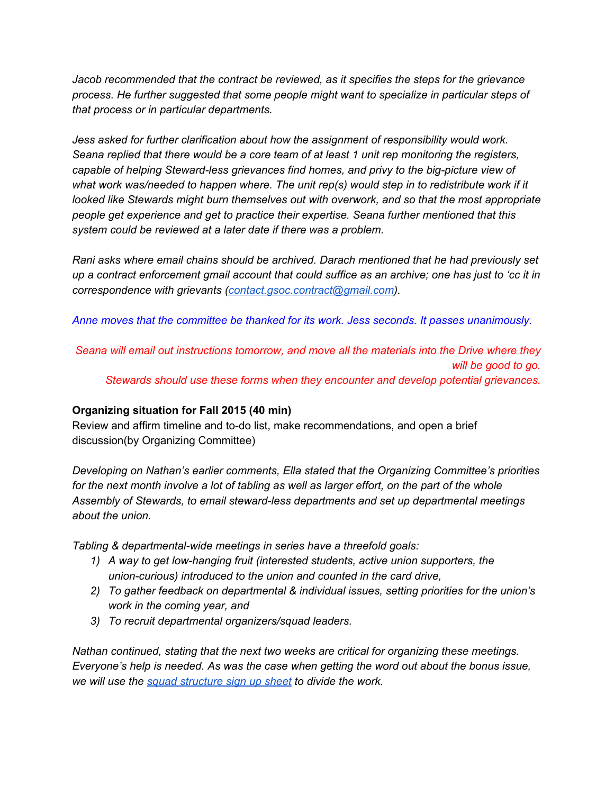*Jacob recommended that the contract be reviewed, as it specifies the steps for the grievance process. He further suggested that some people might want to specialize in particular steps of that process or in particular departments.*

*Jess asked for further clarification about how the assignment of responsibility would work. Seana replied that there would be a core team of at least 1 unit rep monitoring the registers, capable* of *helping* Steward-less grievances find homes, and privy to the big-picture view of *what work was/needed to happen where. The unit rep(s) would step in to redistribute work if it looked like Stewards might burn themselves out with overwork, and so that the most appropriate people get experience and get to practice their expertise. Seana further mentioned that this system could be reviewed at a later date if there was a problem.*

*Rani asks where email chains should be archived. Darach mentioned that he had previously set* up a contract enforcement gmail account that could suffice as an archive; one has just to 'cc it in *correspondence with grievants [\(contact.gsoc.contract@gmail.com\)](mailto:contact.gsoc.contract@gmail.com).*

*Anne moves that the committee be thanked for its work. Jess seconds. It passes unanimously.*

*Seana will email out instructions tomorrow, and move all the materials into the Drive where they will be good to go. Stewards should use these forms when they encounter and develop potential grievances.*

## **Organizing situation for Fall 2015 (40 min)**

Review and affirm timeline and to-do list, make recommendations, and open a brief discussion(by Organizing Committee)

*Developing on Nathan's earlier comments, Ella stated that the Organizing Committee's priorities* for the next month involve a lot of tabling as well as larger effort, on the part of the whole *Assembly of Stewards, to email stewardless departments and set up departmental meetings about the union.*

*Tabling* & *departmental-wide meetings* in *series* have a *threefold goals:* 

- *1) A way to get lowhanging fruit (interested students, active union supporters, the*  $I$ *union-curious) introduced to the union* and *counted in the card drive,*
- *2) To gather feedback on departmental & individual issues, setting priorities for the union's work in the coming year, and*
- *3) To recruit departmental organizers/squad leaders.*

*Nathan continued, stating that the next two weeks are critical for organizing these meetings. Everyone's help is needed. As was the case when getting the word out about the bonus issue, we will use the squad [structure](https://docs.google.com/spreadsheets/d/1SPh4X-knfwamLG4PpK5UAaVCsX37DYxYkQjzIWeFe2c/edit?usp=sharing) sign up sheet to divide the work.*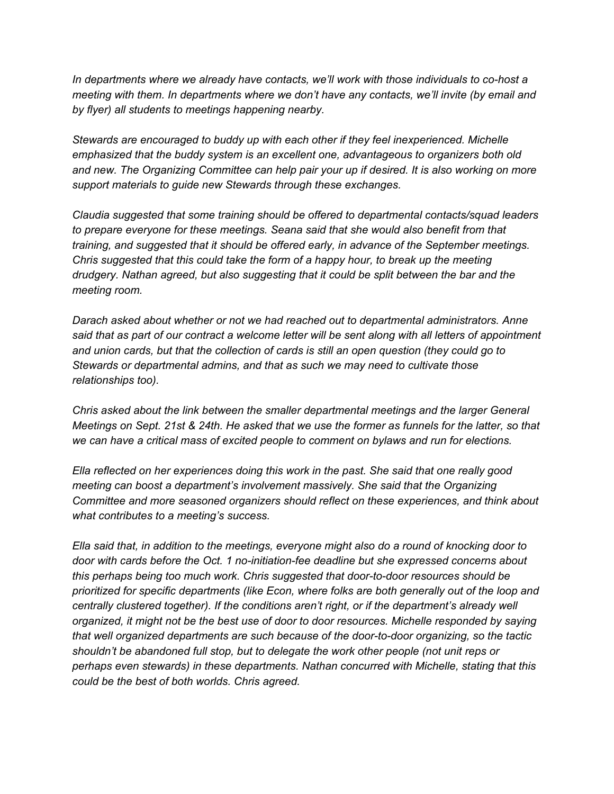*In departments where we already have contacts, we'll work with those individuals to cohost a meeting with them. In departments where we don't have any contacts, we'll invite (by email and by flyer) all students to meetings happening nearby.*

*Stewards are encouraged to buddy up with each other if they feel inexperienced. Michelle emphasized that the buddy system is an excellent one, advantageous to organizers both old and new. The Organizing Committee can help pair your up if desired. It is also working on more support materials to guide new Stewards through these exchanges.*

*Claudia suggested that some training should be offered to departmental contacts/squad leaders to prepare everyone for these meetings. Seana said that she would also benefit from that training, and suggested that it should be offered early, in advance of the September meetings. Chris suggested that this could take the form of a happy hour, to break up the meeting drudgery. Nathan agreed, but also suggesting that it could be split between the bar and the meeting room.*

*Darach asked about whether or not we had reached out to departmental administrators. Anne* said that as part of our contract a welcome letter will be sent along with all letters of appointment *and union cards, but that the collection of cards is still an open question (they could go to Stewards or departmental admins, and that as such we may need to cultivate those relationships too).*

*Chris asked about the link between the smaller departmental meetings and the larger General* Meetings on Sept. 21st & 24th. He asked that we use the former as funnels for the latter, so that *we can have a critical mass of excited people to comment on bylaws and run for elections.*

*Ella reflected on her experiences doing this work in the past. She said that one really good meeting can boost a department's involvement massively. She said that the Organizing Committee and more seasoned organizers should reflect on these experiences, and think about what contributes to a meeting's success.*

*Ella said that, in addition to the meetings, everyone might also do a round of knocking door to door* with cards before the Oct. 1 no-initiation-fee deadline but she expressed concerns about *this perhaps being too much work. Chris suggested that doortodoor resources should be prioritized for specific departments (like Econ, where folks are both generally out of the loop and centrally clustered together). If the conditions aren't right, or if the department's already well organized, it might not be the best use of door to door resources. Michelle responded by saying that well organized departments are such because of the doortodoor organizing, so the tactic shouldn't be abandoned full stop, but to delegate the work other people (not unit reps or perhaps even stewards) in these departments. Nathan concurred with Michelle, stating that this could be the best of both worlds. Chris agreed.*